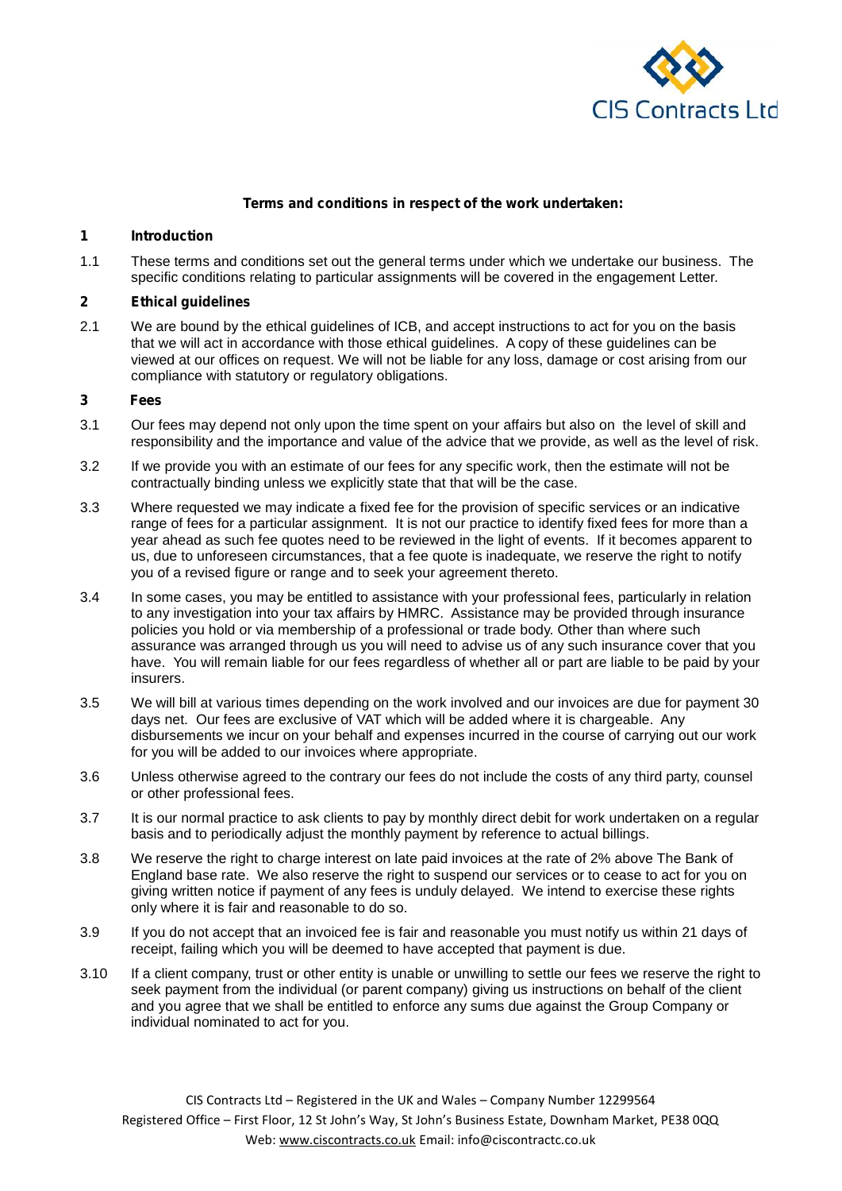

#### **Terms and conditions in respect of the work undertaken:**

## **1 Introduction**

1.1 These terms and conditions set out the general terms under which we undertake our business. The specific conditions relating to particular assignments will be covered in the engagement Letter.

## **2 Ethical guidelines**

2.1 We are bound by the ethical guidelines of ICB, and accept instructions to act for you on the basis that we will act in accordance with those ethical guidelines. A copy of these guidelines can be viewed at our offices on request. We will not be liable for any loss, damage or cost arising from our compliance with statutory or regulatory obligations.

#### **3 Fees**

- 3.1 Our fees may depend not only upon the time spent on your affairs but also on the level of skill and responsibility and the importance and value of the advice that we provide, as well as the level of risk.
- 3.2 If we provide you with an estimate of our fees for any specific work, then the estimate will not be contractually binding unless we explicitly state that that will be the case.
- 3.3 Where requested we may indicate a fixed fee for the provision of specific services or an indicative range of fees for a particular assignment. It is not our practice to identify fixed fees for more than a year ahead as such fee quotes need to be reviewed in the light of events. If it becomes apparent to us, due to unforeseen circumstances, that a fee quote is inadequate, we reserve the right to notify you of a revised figure or range and to seek your agreement thereto.
- 3.4 In some cases, you may be entitled to assistance with your professional fees, particularly in relation to any investigation into your tax affairs by HMRC. Assistance may be provided through insurance policies you hold or via membership of a professional or trade body. Other than where such assurance was arranged through us you will need to advise us of any such insurance cover that you have. You will remain liable for our fees regardless of whether all or part are liable to be paid by your insurers.
- 3.5 We will bill at various times depending on the work involved and our invoices are due for payment 30 days net. Our fees are exclusive of VAT which will be added where it is chargeable. Any disbursements we incur on your behalf and expenses incurred in the course of carrying out our work for you will be added to our invoices where appropriate.
- 3.6 Unless otherwise agreed to the contrary our fees do not include the costs of any third party, counsel or other professional fees.
- 3.7 It is our normal practice to ask clients to pay by monthly direct debit for work undertaken on a regular basis and to periodically adjust the monthly payment by reference to actual billings.
- 3.8 We reserve the right to charge interest on late paid invoices at the rate of 2% above The Bank of England base rate. We also reserve the right to suspend our services or to cease to act for you on giving written notice if payment of any fees is unduly delayed. We intend to exercise these rights only where it is fair and reasonable to do so.
- 3.9 If you do not accept that an invoiced fee is fair and reasonable you must notify us within 21 days of receipt, failing which you will be deemed to have accepted that payment is due.
- 3.10 If a client company, trust or other entity is unable or unwilling to settle our fees we reserve the right to seek payment from the individual (or parent company) giving us instructions on behalf of the client and you agree that we shall be entitled to enforce any sums due against the Group Company or individual nominated to act for you.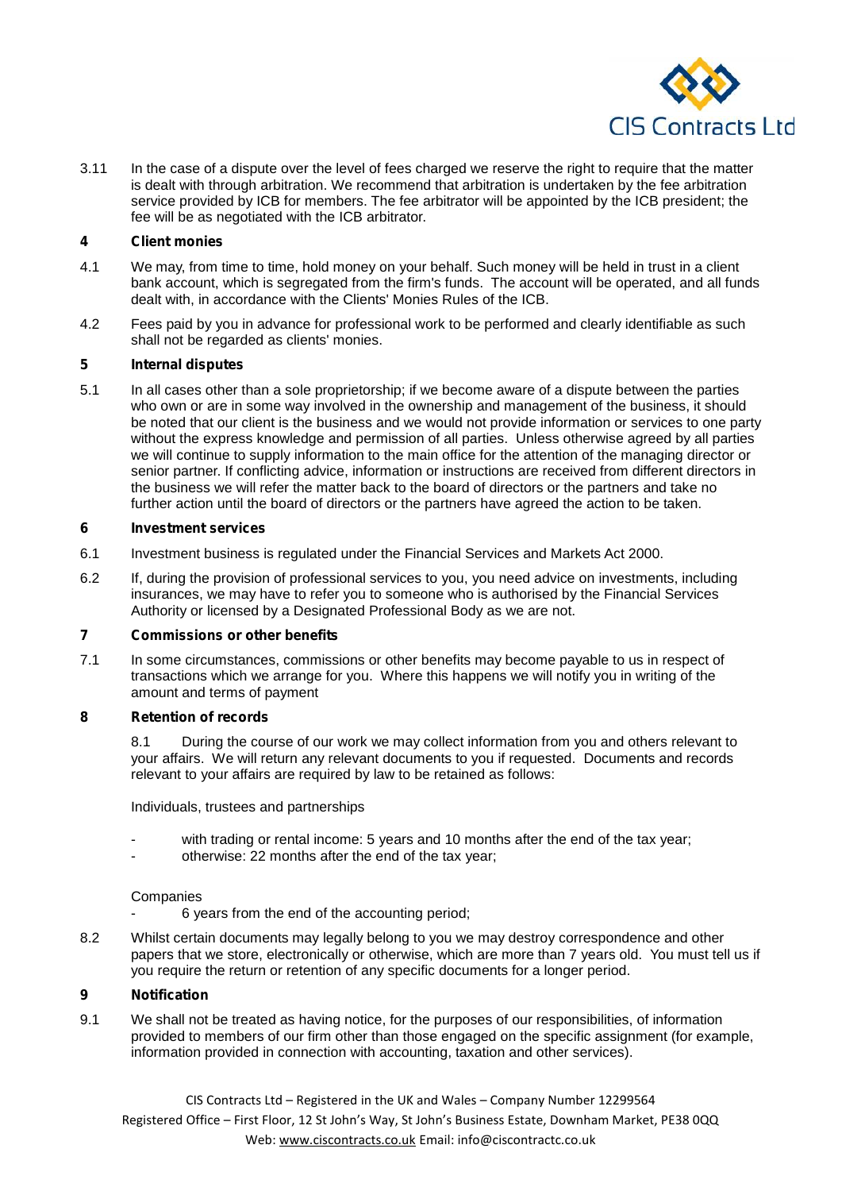

3.11 In the case of a dispute over the level of fees charged we reserve the right to require that the matter is dealt with through arbitration. We recommend that arbitration is undertaken by the fee arbitration service provided by ICB for members. The fee arbitrator will be appointed by the ICB president; the fee will be as negotiated with the ICB arbitrator.

## **4 Client monies**

- 4.1 We may, from time to time, hold money on your behalf. Such money will be held in trust in a client bank account, which is segregated from the firm's funds. The account will be operated, and all funds dealt with, in accordance with the Clients' Monies Rules of the ICB.
- 4.2 Fees paid by you in advance for professional work to be performed and clearly identifiable as such shall not be regarded as clients' monies.

# **5 Internal disputes**

5.1 In all cases other than a sole proprietorship; if we become aware of a dispute between the parties who own or are in some way involved in the ownership and management of the business, it should be noted that our client is the business and we would not provide information or services to one party without the express knowledge and permission of all parties. Unless otherwise agreed by all parties we will continue to supply information to the main office for the attention of the managing director or senior partner. If conflicting advice, information or instructions are received from different directors in the business we will refer the matter back to the board of directors or the partners and take no further action until the board of directors or the partners have agreed the action to be taken.

## **6 Investment services**

- 6.1 Investment business is regulated under the Financial Services and Markets Act 2000.
- 6.2 If, during the provision of professional services to you, you need advice on investments, including insurances, we may have to refer you to someone who is authorised by the Financial Services Authority or licensed by a Designated Professional Body as we are not.

## **7 Commissions or other benefits**

7.1 In some circumstances, commissions or other benefits may become payable to us in respect of transactions which we arrange for you. Where this happens we will notify you in writing of the amount and terms of payment

## **8 Retention of records**

8.1 During the course of our work we may collect information from you and others relevant to your affairs. We will return any relevant documents to you if requested. Documents and records relevant to your affairs are required by law to be retained as follows:

Individuals, trustees and partnerships

- with trading or rental income: 5 years and 10 months after the end of the tax year;
- otherwise: 22 months after the end of the tax year;

## Companies

- 6 years from the end of the accounting period;
- 8.2 Whilst certain documents may legally belong to you we may destroy correspondence and other papers that we store, electronically or otherwise, which are more than 7 years old. You must tell us if you require the return or retention of any specific documents for a longer period.

## **9 Notification**

9.1 We shall not be treated as having notice, for the purposes of our responsibilities, of information provided to members of our firm other than those engaged on the specific assignment (for example, information provided in connection with accounting, taxation and other services).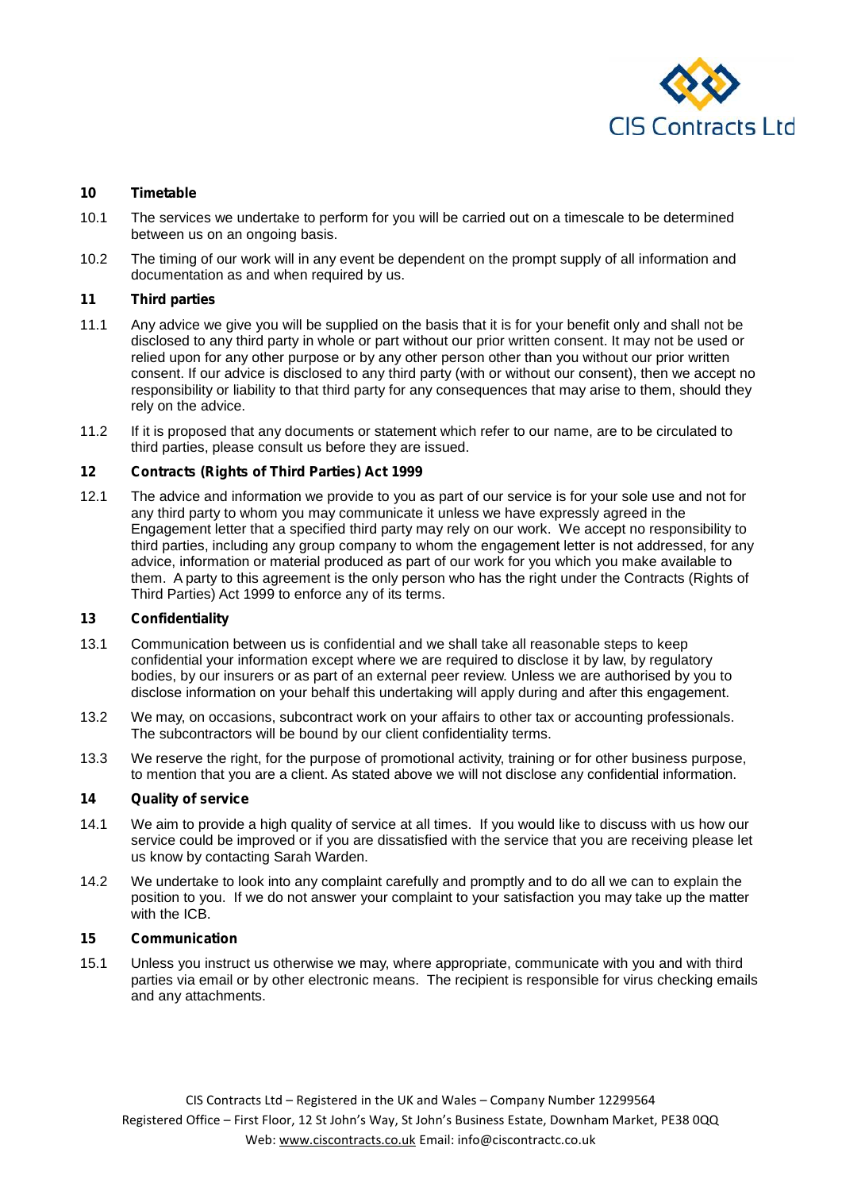

## **10 Timetable**

- 10.1 The services we undertake to perform for you will be carried out on a timescale to be determined between us on an ongoing basis.
- 10.2 The timing of our work will in any event be dependent on the prompt supply of all information and documentation as and when required by us.

## **11 Third parties**

- 11.1 Any advice we give you will be supplied on the basis that it is for your benefit only and shall not be disclosed to any third party in whole or part without our prior written consent. It may not be used or relied upon for any other purpose or by any other person other than you without our prior written consent. If our advice is disclosed to any third party (with or without our consent), then we accept no responsibility or liability to that third party for any consequences that may arise to them, should they rely on the advice.
- 11.2 If it is proposed that any documents or statement which refer to our name, are to be circulated to third parties, please consult us before they are issued.

## **12 Contracts (Rights of Third Parties) Act 1999**

12.1 The advice and information we provide to you as part of our service is for your sole use and not for any third party to whom you may communicate it unless we have expressly agreed in the Engagement letter that a specified third party may rely on our work. We accept no responsibility to third parties, including any group company to whom the engagement letter is not addressed, for any advice, information or material produced as part of our work for you which you make available to them. A party to this agreement is the only person who has the right under the Contracts (Rights of Third Parties) Act 1999 to enforce any of its terms.

## **13 Confidentiality**

- 13.1 Communication between us is confidential and we shall take all reasonable steps to keep confidential your information except where we are required to disclose it by law, by regulatory bodies, by our insurers or as part of an external peer review. Unless we are authorised by you to disclose information on your behalf this undertaking will apply during and after this engagement.
- 13.2 We may, on occasions, subcontract work on your affairs to other tax or accounting professionals. The subcontractors will be bound by our client confidentiality terms.
- 13.3 We reserve the right, for the purpose of promotional activity, training or for other business purpose, to mention that you are a client. As stated above we will not disclose any confidential information.

## **14 Quality of service**

- 14.1 We aim to provide a high quality of service at all times. If you would like to discuss with us how our service could be improved or if you are dissatisfied with the service that you are receiving please let us know by contacting Sarah Warden.
- 14.2 We undertake to look into any complaint carefully and promptly and to do all we can to explain the position to you. If we do not answer your complaint to your satisfaction you may take up the matter with the ICB.

#### **15 Communication**

15.1 Unless you instruct us otherwise we may, where appropriate, communicate with you and with third parties via email or by other electronic means. The recipient is responsible for virus checking emails and any attachments.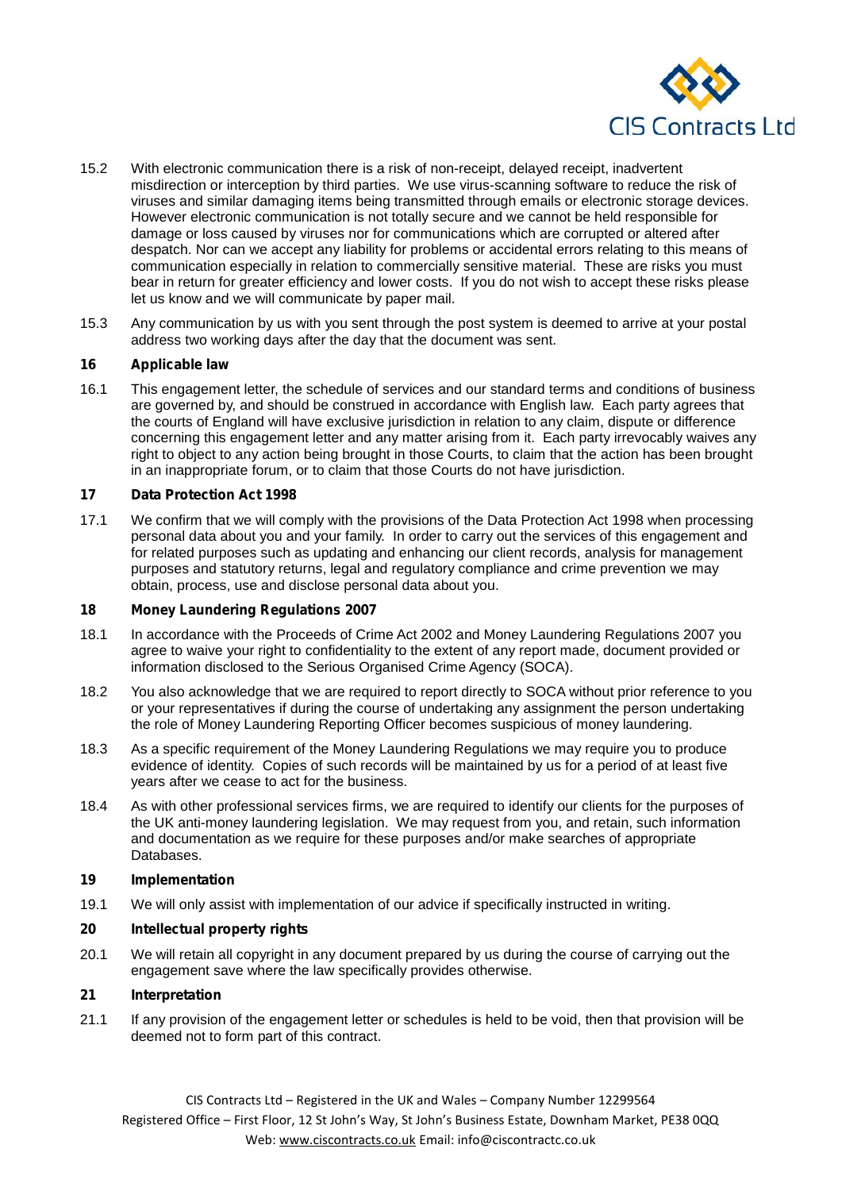

- 15.2 With electronic communication there is a risk of non-receipt, delayed receipt, inadvertent misdirection or interception by third parties. We use virus-scanning software to reduce the risk of viruses and similar damaging items being transmitted through emails or electronic storage devices. However electronic communication is not totally secure and we cannot be held responsible for damage or loss caused by viruses nor for communications which are corrupted or altered after despatch. Nor can we accept any liability for problems or accidental errors relating to this means of communication especially in relation to commercially sensitive material. These are risks you must bear in return for greater efficiency and lower costs. If you do not wish to accept these risks please let us know and we will communicate by paper mail.
- 15.3 Any communication by us with you sent through the post system is deemed to arrive at your postal address two working days after the day that the document was sent.

## **16 Applicable law**

16.1 This engagement letter, the schedule of services and our standard terms and conditions of business are governed by, and should be construed in accordance with English law. Each party agrees that the courts of England will have exclusive jurisdiction in relation to any claim, dispute or difference concerning this engagement letter and any matter arising from it. Each party irrevocably waives any right to object to any action being brought in those Courts, to claim that the action has been brought in an inappropriate forum, or to claim that those Courts do not have jurisdiction.

## **17 Data Protection Act 1998**

17.1 We confirm that we will comply with the provisions of the Data Protection Act 1998 when processing personal data about you and your family. In order to carry out the services of this engagement and for related purposes such as updating and enhancing our client records, analysis for management purposes and statutory returns, legal and regulatory compliance and crime prevention we may obtain, process, use and disclose personal data about you.

## **18 Money Laundering Regulations 2007**

- 18.1 In accordance with the Proceeds of Crime Act 2002 and Money Laundering Regulations 2007 you agree to waive your right to confidentiality to the extent of any report made, document provided or information disclosed to the Serious Organised Crime Agency (SOCA).
- 18.2 You also acknowledge that we are required to report directly to SOCA without prior reference to you or your representatives if during the course of undertaking any assignment the person undertaking the role of Money Laundering Reporting Officer becomes suspicious of money laundering.
- 18.3 As a specific requirement of the Money Laundering Regulations we may require you to produce evidence of identity. Copies of such records will be maintained by us for a period of at least five years after we cease to act for the business.
- 18.4 As with other professional services firms, we are required to identify our clients for the purposes of the UK anti-money laundering legislation. We may request from you, and retain, such information and documentation as we require for these purposes and/or make searches of appropriate Databases.

## **19 Implementation**

19.1 We will only assist with implementation of our advice if specifically instructed in writing.

## **20 Intellectual property rights**

20.1 We will retain all copyright in any document prepared by us during the course of carrying out the engagement save where the law specifically provides otherwise.

## **21 Interpretation**

21.1 If any provision of the engagement letter or schedules is held to be void, then that provision will be deemed not to form part of this contract.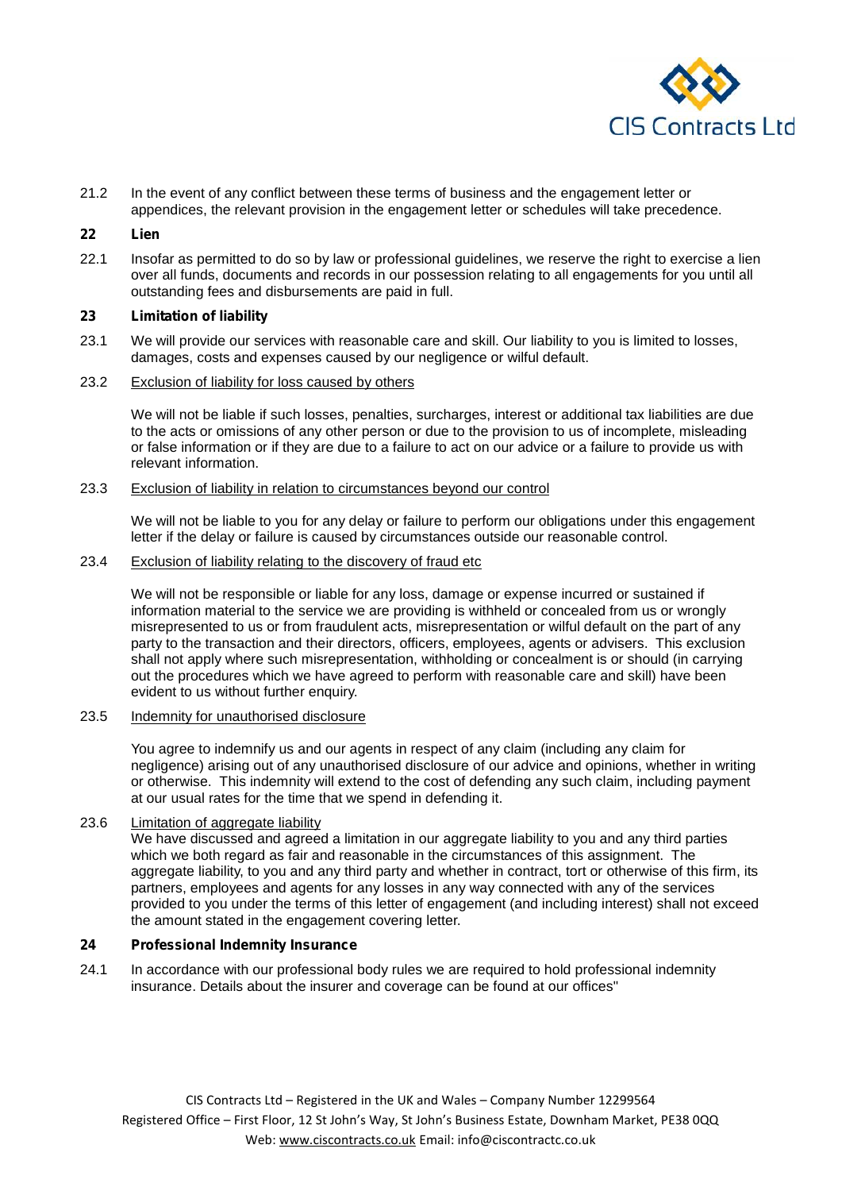

21.2 In the event of any conflict between these terms of business and the engagement letter or appendices, the relevant provision in the engagement letter or schedules will take precedence.

## **22 Lien**

22.1 Insofar as permitted to do so by law or professional guidelines, we reserve the right to exercise a lien over all funds, documents and records in our possession relating to all engagements for you until all outstanding fees and disbursements are paid in full.

## **23 Limitation of liability**

- 23.1 We will provide our services with reasonable care and skill. Our liability to you is limited to losses, damages, costs and expenses caused by our negligence or wilful default.
- 23.2 Exclusion of liability for loss caused by others

We will not be liable if such losses, penalties, surcharges, interest or additional tax liabilities are due to the acts or omissions of any other person or due to the provision to us of incomplete, misleading or false information or if they are due to a failure to act on our advice or a failure to provide us with relevant information.

#### 23.3 Exclusion of liability in relation to circumstances beyond our control

We will not be liable to you for any delay or failure to perform our obligations under this engagement letter if the delay or failure is caused by circumstances outside our reasonable control.

#### 23.4 Exclusion of liability relating to the discovery of fraud etc

We will not be responsible or liable for any loss, damage or expense incurred or sustained if information material to the service we are providing is withheld or concealed from us or wrongly misrepresented to us or from fraudulent acts, misrepresentation or wilful default on the part of any party to the transaction and their directors, officers, employees, agents or advisers. This exclusion shall not apply where such misrepresentation, withholding or concealment is or should (in carrying out the procedures which we have agreed to perform with reasonable care and skill) have been evident to us without further enquiry.

### 23.5 Indemnity for unauthorised disclosure

You agree to indemnify us and our agents in respect of any claim (including any claim for negligence) arising out of any unauthorised disclosure of our advice and opinions, whether in writing or otherwise. This indemnity will extend to the cost of defending any such claim, including payment at our usual rates for the time that we spend in defending it.

## 23.6 Limitation of aggregate liability

We have discussed and agreed a limitation in our aggregate liability to you and any third parties which we both regard as fair and reasonable in the circumstances of this assignment. The aggregate liability, to you and any third party and whether in contract, tort or otherwise of this firm, its partners, employees and agents for any losses in any way connected with any of the services provided to you under the terms of this letter of engagement (and including interest) shall not exceed the amount stated in the engagement covering letter.

## **24 Professional Indemnity Insurance**

24.1 In accordance with our professional body rules we are required to hold professional indemnity insurance. Details about the insurer and coverage can be found at our offices"